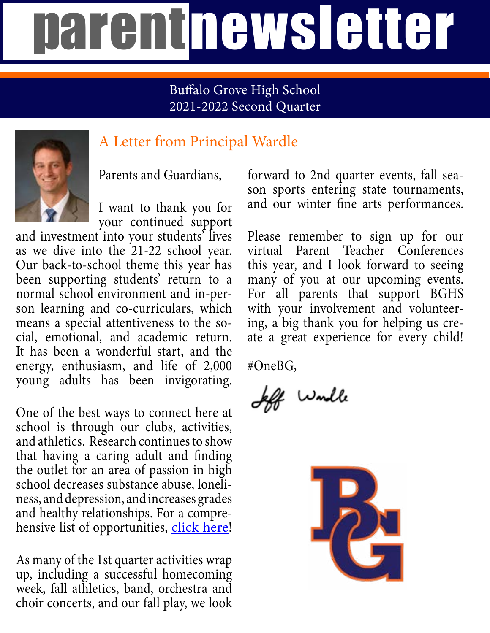## parentnewsletter

#### Buffalo Grove High School 2021-2022 Second Quarter



### A Letter from Principal Wardle

Parents and Guardians,

I want to thank you for your continued support

and investment into your students' lives as we dive into the 21-22 school year. Our back-to-school theme this year has been supporting students' return to a normal school environment and in-person learning and co-curriculars, which means a special attentiveness to the social, emotional, and academic return. It has been a wonderful start, and the energy, enthusiasm, and life of 2,000 young adults has been invigorating.

One of the best ways to connect here at school is through our clubs, activities, and athletics. Research continues to show that having a caring adult and finding the outlet for an area of passion in high school decreases substance abuse, loneliness, and depression, and increases grades and healthy relationships. For a comprehensive list of opportunities, [click here!](https://www.d214.org/domain/39)

As many of the 1st quarter activities wrap up, including a successful homecoming week, fall athletics, band, orchestra and choir concerts, and our fall play, we look

forward to 2nd quarter events, fall season sports entering state tournaments, and our winter fine arts performances.

Please remember to sign up for our virtual Parent Teacher Conferences this year, and I look forward to seeing many of you at our upcoming events. For all parents that support BGHS with your involvement and volunteering, a big thank you for helping us create a great experience for every child!

#OneBG,

If would

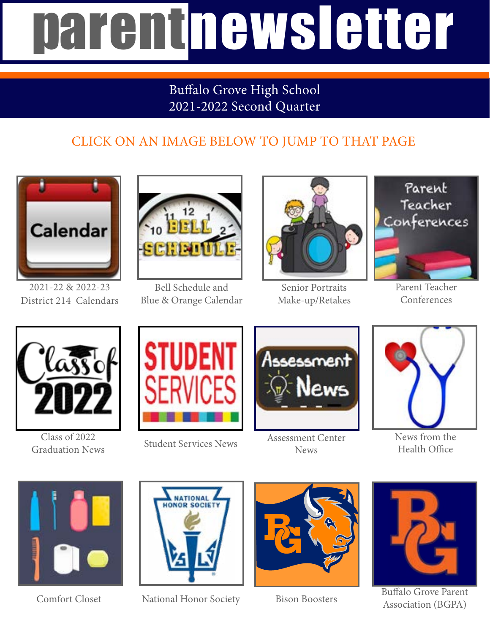# parentnewsletter

#### Buffalo Grove High School 2021-2022 Second Quarter

### CLICK ON AN IMAGE BELOW TO JUMP TO THAT PAGE



2021-22 & 2022-23 District 214 Calendars



Bell Schedule and Blue & Orange Calendar



Senior Portraits Make-up/Retakes



Parent Teacher Conferences



Class of 2022 Graduation News





Student Services News Assessment Center News



News from the Health Office



Comfort Closet



National Honor Society Bison Boosters





Buffalo Grove Parent Association (BGPA)